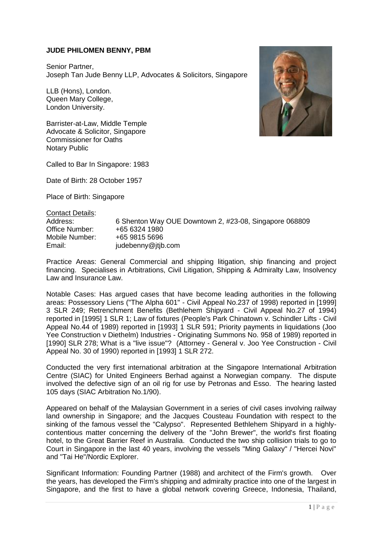## **JUDE PHILOMEN BENNY, PBM**

Senior Partner, Joseph Tan Jude Benny LLP, Advocates & Solicitors, Singapore

LLB (Hons), London. Queen Mary College, London University.

Barrister-at-Law, Middle Temple Advocate & Solicitor, Singapore Commissioner for Oaths Notary Public

Called to Bar In Singapore: 1983

Date of Birth: 28 October 1957

Place of Birth: Singapore

Contact Details:

Address: 6 Shenton Way OUE Downtown 2, #23-08, Singapore 068809 Office Number: +65 6324 1980<br>Mobile Number: +65 9815 5696 Mobile Number: Email: judebenny@jtjb.com

Practice Areas: General Commercial and shipping litigation, ship financing and project financing. Specialises in Arbitrations, Civil Litigation, Shipping & Admiralty Law, Insolvency Law and Insurance Law.

Notable Cases: Has argued cases that have become leading authorities in the following areas: Possessory Liens ("The Alpha 601" - Civil Appeal No.237 of 1998) reported in [1999] 3 SLR 249; Retrenchment Benefits (Bethlehem Shipyard - Civil Appeal No.27 of 1994) reported in [1995] 1 SLR 1; Law of fixtures (People's Park Chinatown v. Schindler Lifts - Civil Appeal No.44 of 1989) reported in [1993] 1 SLR 591; Priority payments in liquidations (Joo Yee Construction v Diethelm) Industries - Originating Summons No. 958 of 1989) reported in [1990] SLR 278; What is a "live issue"? (Attorney - General v. Joo Yee Construction - Civil Appeal No. 30 of 1990) reported in [1993] 1 SLR 272.

Conducted the very first international arbitration at the Singapore International Arbitration Centre (SIAC) for United Engineers Berhad against a Norwegian company. The dispute involved the defective sign of an oil rig for use by Petronas and Esso. The hearing lasted 105 days (SIAC Arbitration No.1/90).

Appeared on behalf of the Malaysian Government in a series of civil cases involving railway land ownership in Singapore; and the Jacques Cousteau Foundation with respect to the sinking of the famous vessel the "Calypso". Represented Bethlehem Shipyard in a highlycontentious matter concerning the delivery of the "John Brewer", the world's first floating hotel, to the Great Barrier Reef in Australia. Conducted the two ship collision trials to go to Court in Singapore in the last 40 years, involving the vessels "Ming Galaxy" / "Hercei Novi" and "Tai He"/Nordic Explorer.

Significant Information: Founding Partner (1988) and architect of the Firm's growth. Over the years, has developed the Firm's shipping and admiralty practice into one of the largest in Singapore, and the first to have a global network covering Greece, Indonesia, Thailand,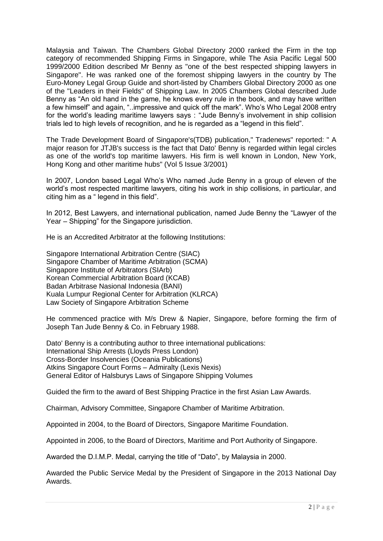Malaysia and Taiwan. The Chambers Global Directory 2000 ranked the Firm in the top category of recommended Shipping Firms in Singapore, while The Asia Pacific Legal 500 1999/2000 Edition described Mr Benny as "one of the best respected shipping lawyers in Singapore". He was ranked one of the foremost shipping lawyers in the country by The Euro-Money Legal Group Guide and short-listed by Chambers Global Directory 2000 as one of the "Leaders in their Fields" of Shipping Law. In 2005 Chambers Global described Jude Benny as "An old hand in the game, he knows every rule in the book, and may have written a few himself" and again, "..impressive and quick off the mark". Who's Who Legal 2008 entry for the world's leading maritime lawyers says : "Jude Benny's involvement in ship collision trials led to high levels of recognition, and he is regarded as a "legend in this field".

The Trade Development Board of Singapore's(TDB) publication," Tradenews" reported: " A major reason for JTJB's success is the fact that Dato' Benny is regarded within legal circles as one of the world's top maritime lawyers. His firm is well known in London, New York, Hong Kong and other maritime hubs" (Vol 5 Issue 3/2001)

In 2007, London based Legal Who's Who named Jude Benny in a group of eleven of the world's most respected maritime lawyers, citing his work in ship collisions, in particular, and citing him as a " legend in this field".

In 2012, Best Lawyers, and international publication, named Jude Benny the "Lawyer of the Year – Shipping" for the Singapore jurisdiction.

He is an Accredited Arbitrator at the following Institutions:

Singapore International Arbitration Centre (SIAC) Singapore Chamber of Maritime Arbitration (SCMA) Singapore Institute of Arbitrators (SIArb) Korean Commercial Arbitration Board (KCAB) Badan Arbitrase Nasional Indonesia (BANI) Kuala Lumpur Regional Center for Arbitration (KLRCA) Law Society of Singapore Arbitration Scheme

He commenced practice with M/s Drew & Napier, Singapore, before forming the firm of Joseph Tan Jude Benny & Co. in February 1988.

Dato' Benny is a contributing author to three international publications: International Ship Arrests (Lloyds Press London) Cross-Border Insolvencies (Oceania Publications) Atkins Singapore Court Forms – Admiralty (Lexis Nexis) General Editor of Halsburys Laws of Singapore Shipping Volumes

Guided the firm to the award of Best Shipping Practice in the first Asian Law Awards.

Chairman, Advisory Committee, Singapore Chamber of Maritime Arbitration.

Appointed in 2004, to the Board of Directors, Singapore Maritime Foundation.

Appointed in 2006, to the Board of Directors, Maritime and Port Authority of Singapore.

Awarded the D.I.M.P. Medal, carrying the title of "Dato", by Malaysia in 2000.

Awarded the Public Service Medal by the President of Singapore in the 2013 National Day Awards.